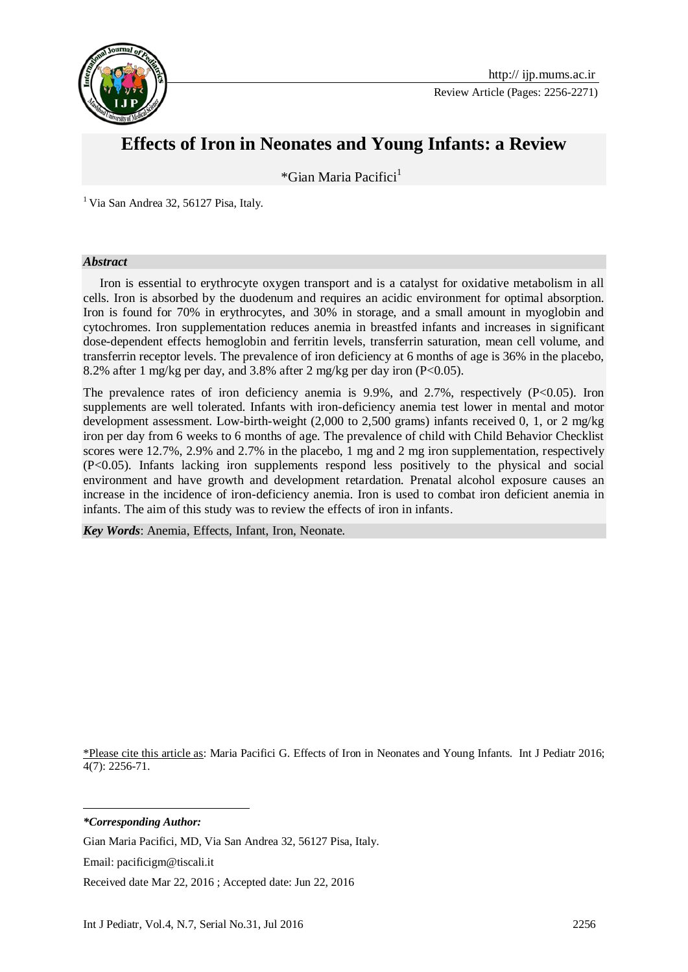

Review Article (Pages: 2256-2271)

# **Effects of Iron in Neonates and Young Infants: a Review**

\*Gian Maria Pacifici $<sup>1</sup>$ </sup>

 $<sup>1</sup>$  Via San Andrea 32, 56127 Pisa, Italy.</sup>

#### *Abstract*

Iron is essential to erythrocyte oxygen transport and is a catalyst for oxidative metabolism in all cells. Iron is absorbed by the duodenum and requires an acidic environment for optimal absorption. Iron is found for 70% in erythrocytes, and 30% in storage, and a small amount in myoglobin and cytochromes. Iron supplementation reduces anemia in breastfed infants and increases in significant dose-dependent effects hemoglobin and ferritin levels, transferrin saturation, mean cell volume, and transferrin receptor levels. The prevalence of iron deficiency at 6 months of age is 36% in the placebo, 8.2% after 1 mg/kg per day, and 3.8% after 2 mg/kg per day iron (P<0.05).

The prevalence rates of iron deficiency anemia is  $9.9\%$ , and  $2.7\%$ , respectively (P<0.05). Iron supplements are well tolerated. Infants with iron-deficiency anemia test lower in mental and motor development assessment. Low-birth-weight  $(2,000 \text{ to } 2,500 \text{ grams})$  infants received 0, 1, or 2 mg/kg iron per day from 6 weeks to 6 months of age. The prevalence of child with Child Behavior Checklist scores were 12.7%, 2.9% and 2.7% in the placebo, 1 mg and 2 mg iron supplementation, respectively (P<0.05). Infants lacking iron supplements respond less positively to the physical and social environment and have growth and development retardation. Prenatal alcohol exposure causes an increase in the incidence of iron-deficiency anemia. Iron is used to combat iron deficient anemia in infants. The aim of this study was to review the effects of iron in infants.

*Key Words*: Anemia, Effects, Infant, Iron, Neonate.

\*Please cite this article as: Maria Pacifici G. Effects of Iron in Neonates and Young Infants. Int J Pediatr 2016; 4(7): 2256-71.

*\*Corresponding Author:*

-

Gian Maria Pacifici, MD, Via San Andrea 32, 56127 Pisa, Italy.

Email: pacificigm@tiscali.it

Received date Mar 22, 2016 ; Accepted date: Jun 22, 2016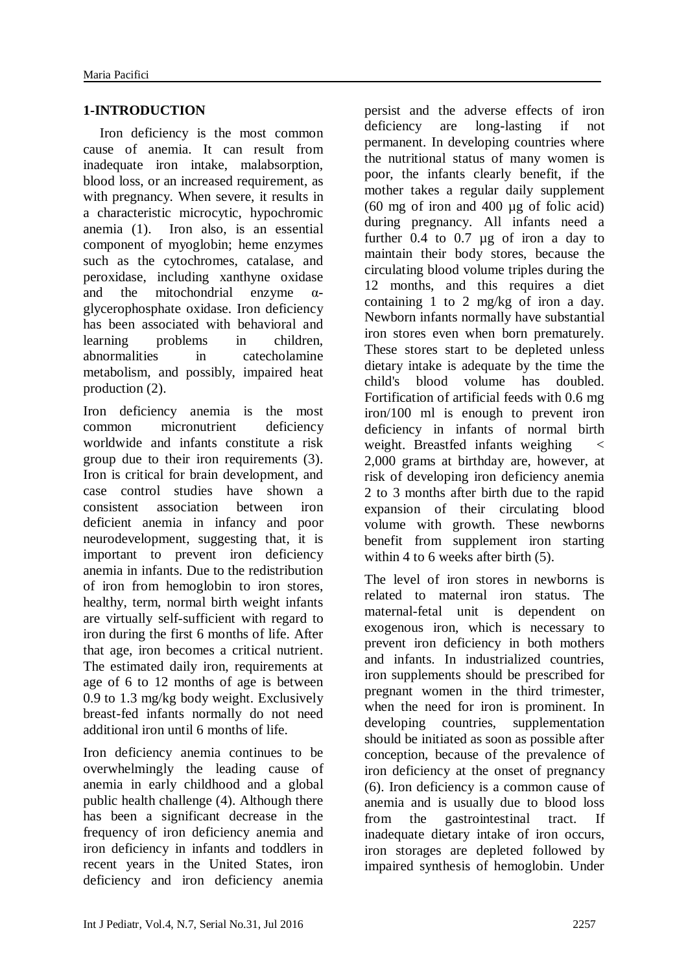# **1-INTRODUCTION**

Iron deficiency is the most common cause of anemia. It can result from inadequate iron intake, malabsorption, blood loss, or an increased requirement, as with pregnancy. When severe, it results in a characteristic microcytic, hypochromic anemia (1). Iron also, is an essential component of myoglobin; heme enzymes such as the cytochromes, catalase, and peroxidase, including xanthyne oxidase and the mitochondrial enzyme  $\alpha$ glycerophosphate oxidase. Iron deficiency has been associated with behavioral and learning problems in children, abnormalities in catecholamine metabolism, and possibly, impaired heat production (2).

Iron deficiency anemia is the most common micronutrient deficiency worldwide and infants constitute a risk group due to their iron requirements (3). Iron is critical for brain development, and case control studies have shown a consistent association between iron deficient anemia in infancy and poor neurodevelopment, suggesting that, it is important to prevent iron deficiency anemia in infants. Due to the redistribution of iron from hemoglobin to iron stores, healthy, term, normal birth weight infants are virtually self-sufficient with regard to iron during the first 6 months of life. After that age, iron becomes a critical nutrient. The estimated daily iron, requirements at age of 6 to 12 months of age is between 0.9 to 1.3 mg/kg body weight. Exclusively breast-fed infants normally do not need additional iron until 6 months of life.

Iron deficiency anemia continues to be overwhelmingly the leading cause of anemia in early childhood and a global public health challenge (4). Although there has been a significant decrease in the frequency of iron deficiency anemia and iron deficiency in infants and toddlers in recent years in the United States, iron deficiency and iron deficiency anemia persist and the adverse effects of iron deficiency are long-lasting if not permanent. In developing countries where the nutritional status of many women is poor, the infants clearly benefit, if the mother takes a regular daily supplement (60 mg of iron and 400 µg of folic acid) during pregnancy. All infants need a further 0.4 to 0.7 µg of iron a day to maintain their body stores, because the circulating blood volume triples during the 12 months, and this requires a diet containing 1 to 2 mg/kg of iron a day. Newborn infants normally have substantial iron stores even when born prematurely. These stores start to be depleted unless dietary intake is adequate by the time the child's blood volume has doubled. Fortification of artificial feeds with 0.6 mg iron/100 ml is enough to prevent iron deficiency in infants of normal birth weight. Breastfed infants weighing < 2,000 grams at birthday are, however, at risk of developing iron deficiency anemia 2 to 3 months after birth due to the rapid expansion of their circulating blood volume with growth. These newborns benefit from supplement iron starting within 4 to 6 weeks after birth (5).

The level of iron stores in newborns is related to maternal iron status. The maternal-fetal unit is dependent on exogenous iron, which is necessary to prevent iron deficiency in both mothers and infants. In industrialized countries, iron supplements should be prescribed for pregnant women in the third trimester, when the need for iron is prominent. In developing countries, supplementation should be initiated as soon as possible after conception, because of the prevalence of iron deficiency at the onset of pregnancy (6). Iron deficiency is a common cause of anemia and is usually due to blood loss from the gastrointestinal tract. If inadequate dietary intake of iron occurs, iron storages are depleted followed by impaired synthesis of hemoglobin. Under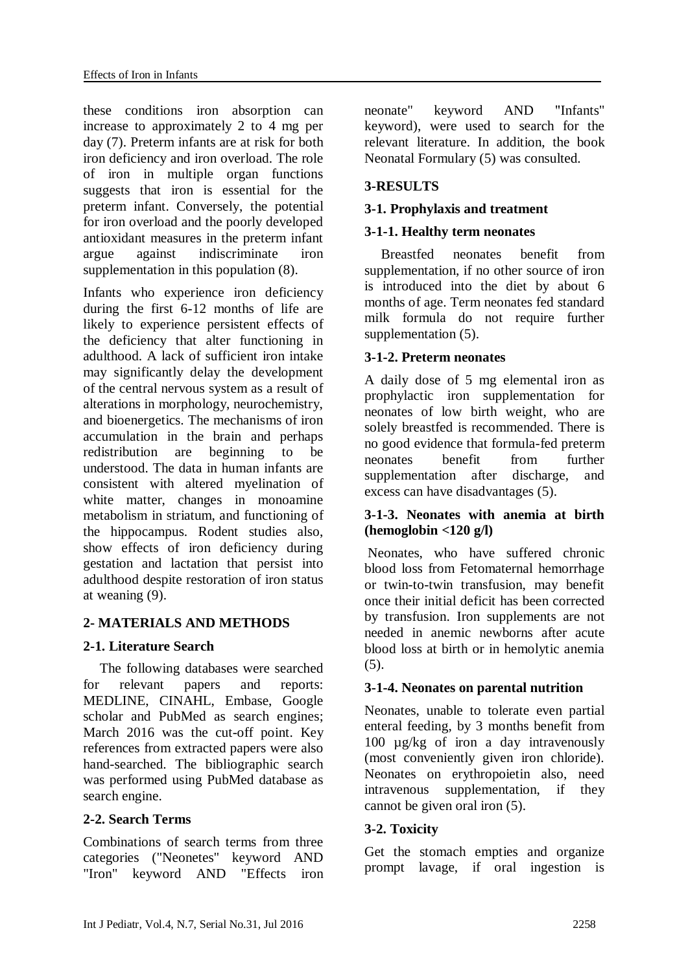these conditions iron absorption can increase to approximately 2 to 4 mg per day (7). Preterm infants are at risk for both iron deficiency and iron overload. The role of iron in multiple organ functions suggests that iron is essential for the preterm infant. Conversely, the potential for iron overload and the poorly developed antioxidant measures in the preterm infant argue against indiscriminate iron supplementation in this population (8).

Infants who experience iron deficiency during the first 6-12 months of life are likely to experience persistent effects of the deficiency that alter functioning in adulthood. A lack of sufficient iron intake may significantly delay the development of the central nervous system as a result of alterations in morphology, neurochemistry, and bioenergetics. The mechanisms of iron accumulation in the brain and perhaps redistribution are beginning to be understood. The data in human infants are consistent with altered myelination of white matter, changes in monoamine metabolism in striatum, and functioning of the hippocampus. Rodent studies also, show effects of iron deficiency during gestation and lactation that persist into adulthood despite restoration of iron status at weaning (9).

# **2- MATERIALS AND METHODS**

# **2-1. Literature Search**

The following databases were searched for relevant papers and reports: MEDLINE, CINAHL, Embase, Google scholar and PubMed as search engines; March 2016 was the cut-off point. Key references from extracted papers were also hand-searched. The bibliographic search was performed using PubMed database as search engine.

# **2-2. Search Terms**

Combinations of search terms from three categories ("Neonetes" keyword AND "Iron" keyword AND "Effects iron neonate" keyword AND "Infants" keyword), were used to search for the relevant literature. In addition, the book Neonatal Formulary (5) was consulted.

# **3-RESULTS**

# **3-1. Prophylaxis and treatment**

# **3-1-1. Healthy term neonates**

Breastfed neonates benefit from supplementation, if no other source of iron is introduced into the diet by about 6 months of age. Term neonates fed standard milk formula do not require further supplementation (5).

# **3-1-2. Preterm neonates**

A daily dose of 5 mg elemental iron as prophylactic iron supplementation for neonates of low birth weight, who are solely breastfed is recommended. There is no good evidence that formula-fed preterm neonates benefit from further supplementation after discharge, and excess can have disadvantages (5).

#### **3-1-3. Neonates with anemia at birth (hemoglobin <120 g/l)**

Neonates, who have suffered chronic blood loss from Fetomaternal hemorrhage or twin-to-twin transfusion, may benefit once their initial deficit has been corrected by transfusion. Iron supplements are not needed in anemic newborns after acute blood loss at birth or in hemolytic anemia (5).

# **3-1-4. Neonates on parental nutrition**

Neonates, unable to tolerate even partial enteral feeding, by 3 months benefit from 100 µg/kg of iron a day intravenously (most conveniently given iron chloride). Neonates on erythropoietin also, need intravenous supplementation, if they cannot be given oral iron (5).

# **3-2. Toxicity**

Get the stomach empties and organize prompt lavage, if oral ingestion is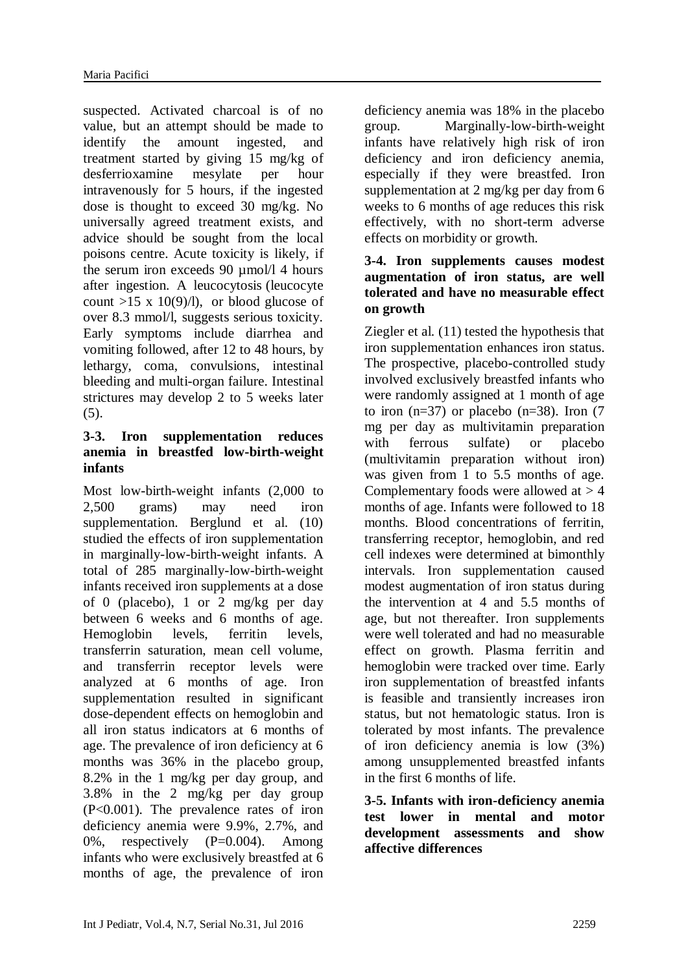suspected. Activated charcoal is of no value, but an attempt should be made to identify the amount ingested, and treatment started by giving 15 mg/kg of desferrioxamine mesylate per hour intravenously for 5 hours, if the ingested dose is thought to exceed 30 mg/kg. No universally agreed treatment exists, and advice should be sought from the local poisons centre. Acute toxicity is likely, if the serum iron exceeds 90 µmol/l 4 hours after ingestion. A leucocytosis (leucocyte count  $>15 \times 10(9)/1$ , or blood glucose of over 8.3 mmol/l, suggests serious toxicity. Early symptoms include diarrhea and vomiting followed, after 12 to 48 hours, by lethargy, coma, convulsions, intestinal bleeding and multi-organ failure. Intestinal strictures may develop 2 to 5 weeks later (5).

#### **3-3. Iron supplementation reduces anemia in breastfed low-birth-weight infants**

Most low-birth-weight infants (2,000 to 2,500 grams) may need iron supplementation. Berglund et al. (10) studied the effects of iron supplementation in marginally-low-birth-weight infants. A total of 285 marginally-low-birth-weight infants received iron supplements at a dose of 0 (placebo), 1 or 2 mg/kg per day between 6 weeks and 6 months of age. Hemoglobin levels, ferritin levels, transferrin saturation, mean cell volume, and transferrin receptor levels were analyzed at 6 months of age. Iron supplementation resulted in significant dose-dependent effects on hemoglobin and all iron status indicators at 6 months of age. The prevalence of iron deficiency at 6 months was 36% in the placebo group, 8.2% in the 1 mg/kg per day group, and 3.8% in the 2 mg/kg per day group (P<0.001). The prevalence rates of iron deficiency anemia were 9.9%, 2.7%, and 0%, respectively  $(P=0.004)$ . Among infants who were exclusively breastfed at 6 months of age, the prevalence of iron deficiency anemia was 18% in the placebo group. Marginally-low-birth-weight infants have relatively high risk of iron deficiency and iron deficiency anemia, especially if they were breastfed. Iron supplementation at 2 mg/kg per day from 6 weeks to 6 months of age reduces this risk effectively, with no short-term adverse effects on morbidity or growth.

# **3-4. Iron supplements causes modest augmentation of iron status, are well tolerated and have no measurable effect on growth**

Ziegler et al. (11) tested the hypothesis that iron supplementation enhances iron status. The prospective, placebo-controlled study involved exclusively breastfed infants who were randomly assigned at 1 month of age to iron  $(n=37)$  or placebo  $(n=38)$ . Iron  $(7)$ mg per day as multivitamin preparation with ferrous sulfate) or placebo (multivitamin preparation without iron) was given from 1 to 5.5 months of age. Complementary foods were allowed at  $> 4$ months of age. Infants were followed to 18 months. Blood concentrations of ferritin, transferring receptor, hemoglobin, and red cell indexes were determined at bimonthly intervals. Iron supplementation caused modest augmentation of iron status during the intervention at 4 and 5.5 months of age, but not thereafter. Iron supplements were well tolerated and had no measurable effect on growth. Plasma ferritin and hemoglobin were tracked over time. Early iron supplementation of breastfed infants is feasible and transiently increases iron status, but not hematologic status. Iron is tolerated by most infants. The prevalence of iron deficiency anemia is low (3%) among unsupplemented breastfed infants in the first 6 months of life.

**3-5. Infants with iron-deficiency anemia test lower in mental and motor development assessments and show affective differences**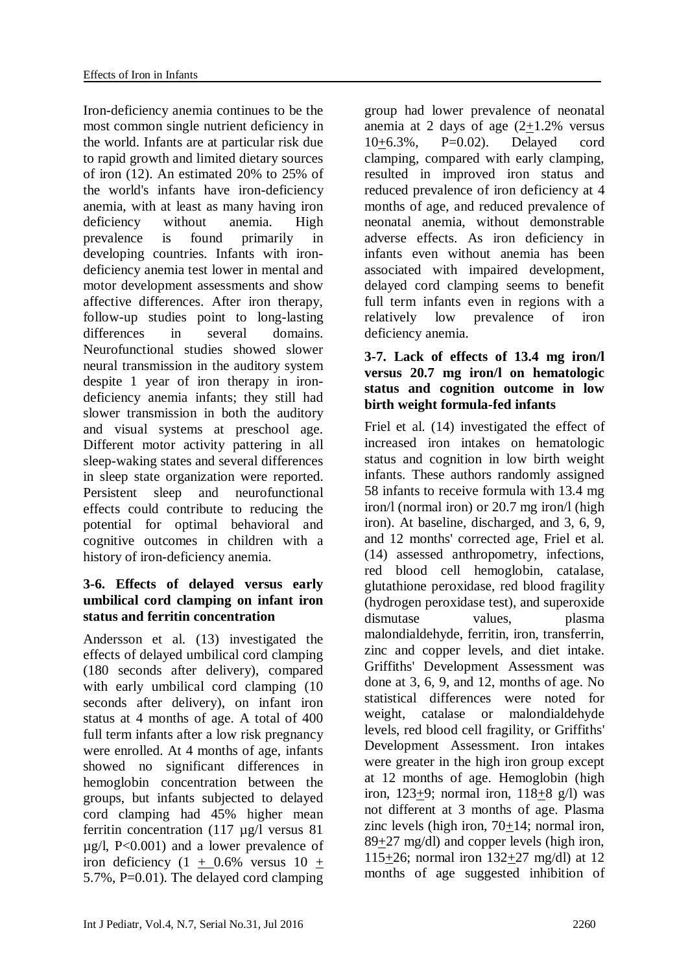Iron-deficiency anemia continues to be the most common single nutrient deficiency in the world. Infants are at particular risk due to rapid growth and limited dietary sources of iron (12). An estimated 20% to 25% of the world's infants have iron-deficiency anemia, with at least as many having iron deficiency without anemia. High prevalence is found primarily in developing countries. Infants with irondeficiency anemia test lower in mental and motor development assessments and show affective differences. After iron therapy, follow-up studies point to long-lasting differences in several domains. Neurofunctional studies showed slower neural transmission in the auditory system despite 1 year of iron therapy in irondeficiency anemia infants; they still had slower transmission in both the auditory and visual systems at preschool age. Different motor activity pattering in all sleep-waking states and several differences in sleep state organization were reported. Persistent sleep and neurofunctional effects could contribute to reducing the potential for optimal behavioral and cognitive outcomes in children with a history of iron-deficiency anemia.

# **3-6. Effects of delayed versus early umbilical cord clamping on infant iron status and ferritin concentration**

Andersson et al. (13) investigated the effects of delayed umbilical cord clamping (180 seconds after delivery), compared with early umbilical cord clamping  $(10)$ seconds after delivery), on infant iron status at 4 months of age. A total of 400 full term infants after a low risk pregnancy were enrolled. At 4 months of age, infants showed no significant differences in hemoglobin concentration between the groups, but infants subjected to delayed cord clamping had 45% higher mean ferritin concentration (117 µg/l versus 81  $\mu$ g/l, P<0.001) and a lower prevalence of iron deficiency  $(1 + 0.6\%$  versus  $10 +$ 5.7%, P=0.01). The delayed cord clamping group had lower prevalence of neonatal anemia at 2 days of age  $(2+1.2\%$  versus 10+6.3%, P=0.02). Delayed cord clamping, compared with early clamping, resulted in improved iron status and reduced prevalence of iron deficiency at 4 months of age, and reduced prevalence of neonatal anemia, without demonstrable adverse effects. As iron deficiency in infants even without anemia has been associated with impaired development, delayed cord clamping seems to benefit full term infants even in regions with a relatively low prevalence of iron deficiency anemia.

# **3-7. Lack of effects of 13.4 mg iron/l versus 20.7 mg iron/l on hematologic status and cognition outcome in low birth weight formula-fed infants**

Friel et al. (14) investigated the effect of increased iron intakes on hematologic status and cognition in low birth weight infants. These authors randomly assigned 58 infants to receive formula with 13.4 mg iron/l (normal iron) or 20.7 mg iron/l (high iron). At baseline, discharged, and 3, 6, 9, and 12 months' corrected age, Friel et al. (14) assessed anthropometry, infections, red blood cell hemoglobin, catalase, glutathione peroxidase, red blood fragility (hydrogen peroxidase test), and superoxide dismutase values, plasma malondialdehyde, ferritin, iron, transferrin, zinc and copper levels, and diet intake. Griffiths' Development Assessment was done at 3, 6, 9, and 12, months of age. No statistical differences were noted for weight, catalase or malondialdehyde levels, red blood cell fragility, or Griffiths' Development Assessment. Iron intakes were greater in the high iron group except at 12 months of age. Hemoglobin (high iron, 123+9; normal iron, 118+8 g/l) was not different at 3 months of age. Plasma zinc levels (high iron, 70+14; normal iron, 89+27 mg/dl) and copper levels (high iron, 115+26; normal iron 132+27 mg/dl) at 12 months of age suggested inhibition of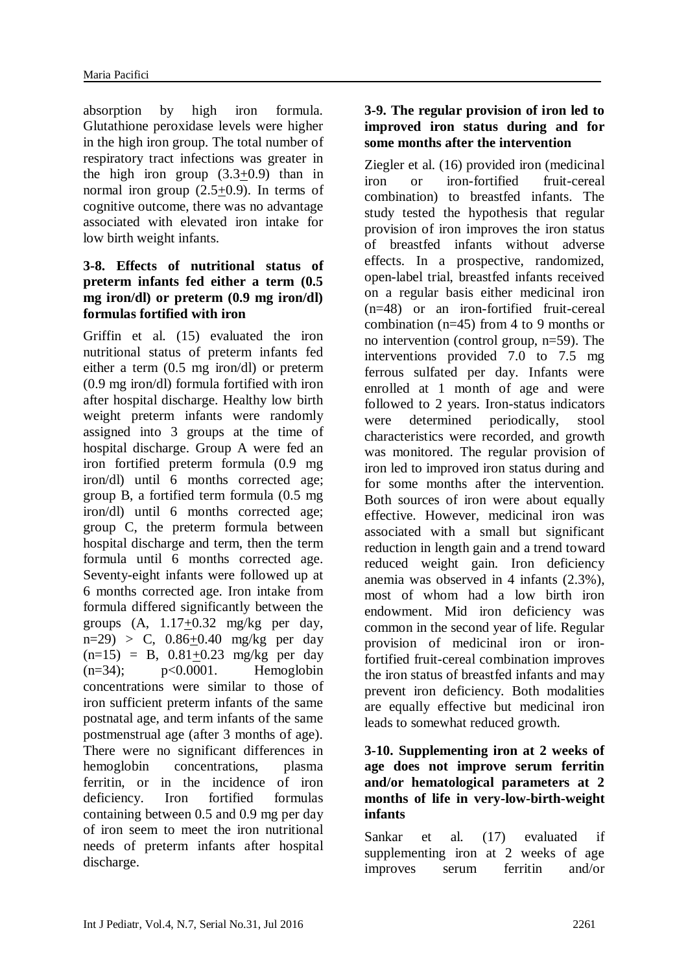absorption by high iron formula. Glutathione peroxidase levels were higher in the high iron group. The total number of respiratory tract infections was greater in the high iron group  $(3.3+0.9)$  than in normal iron group (2.5+0.9). In terms of cognitive outcome, there was no advantage associated with elevated iron intake for low birth weight infants.

# **3-8. Effects of nutritional status of preterm infants fed either a term (0.5 mg iron/dl) or preterm (0.9 mg iron/dl) formulas fortified with iron**

Griffin et al. (15) evaluated the iron nutritional status of preterm infants fed either a term (0.5 mg iron/dl) or preterm (0.9 mg iron/dl) formula fortified with iron after hospital discharge. Healthy low birth weight preterm infants were randomly assigned into 3 groups at the time of hospital discharge. Group A were fed an iron fortified preterm formula (0.9 mg iron/dl) until 6 months corrected age; group B, a fortified term formula (0.5 mg iron/dl) until 6 months corrected age; group C, the preterm formula between hospital discharge and term, then the term formula until 6 months corrected age. Seventy-eight infants were followed up at 6 months corrected age. Iron intake from formula differed significantly between the groups  $(A, 1.17+0.32 \text{ mg/kg} \text{ per day},$  $n=29$ ) > C, 0.86+0.40 mg/kg per day  $(n=15) = B$ ,  $0.81 \pm 0.23$  mg/kg per day  $(n=34);$   $p<0.0001.$  Hemoglobin concentrations were similar to those of iron sufficient preterm infants of the same postnatal age, and term infants of the same postmenstrual age (after 3 months of age). There were no significant differences in hemoglobin concentrations, plasma ferritin, or in the incidence of iron deficiency. Iron fortified formulas containing between 0.5 and 0.9 mg per day of iron seem to meet the iron nutritional needs of preterm infants after hospital discharge.

#### **3-9. The regular provision of iron led to improved iron status during and for some months after the intervention**

Ziegler et al. (16) provided iron (medicinal iron or iron-fortified fruit-cereal combination) to breastfed infants. The study tested the hypothesis that regular provision of iron improves the iron status of breastfed infants without adverse effects. In a prospective, randomized, open-label trial, breastfed infants received on a regular basis either medicinal iron (n=48) or an iron-fortified fruit-cereal combination (n=45) from 4 to 9 months or no intervention (control group, n=59). The interventions provided 7.0 to 7.5 mg ferrous sulfated per day. Infants were enrolled at 1 month of age and were followed to 2 years. Iron-status indicators were determined periodically, stool characteristics were recorded, and growth was monitored. The regular provision of iron led to improved iron status during and for some months after the intervention. Both sources of iron were about equally effective. However, medicinal iron was associated with a small but significant reduction in length gain and a trend toward reduced weight gain. Iron deficiency anemia was observed in 4 infants (2.3%), most of whom had a low birth iron endowment. Mid iron deficiency was common in the second year of life. Regular provision of medicinal iron or ironfortified fruit-cereal combination improves the iron status of breastfed infants and may prevent iron deficiency. Both modalities are equally effective but medicinal iron leads to somewhat reduced growth.

#### **3-10. Supplementing iron at 2 weeks of age does not improve serum ferritin and/or hematological parameters at 2 months of life in very-low-birth-weight infants**

Sankar et al. (17) evaluated if supplementing iron at 2 weeks of age improves serum ferritin and/or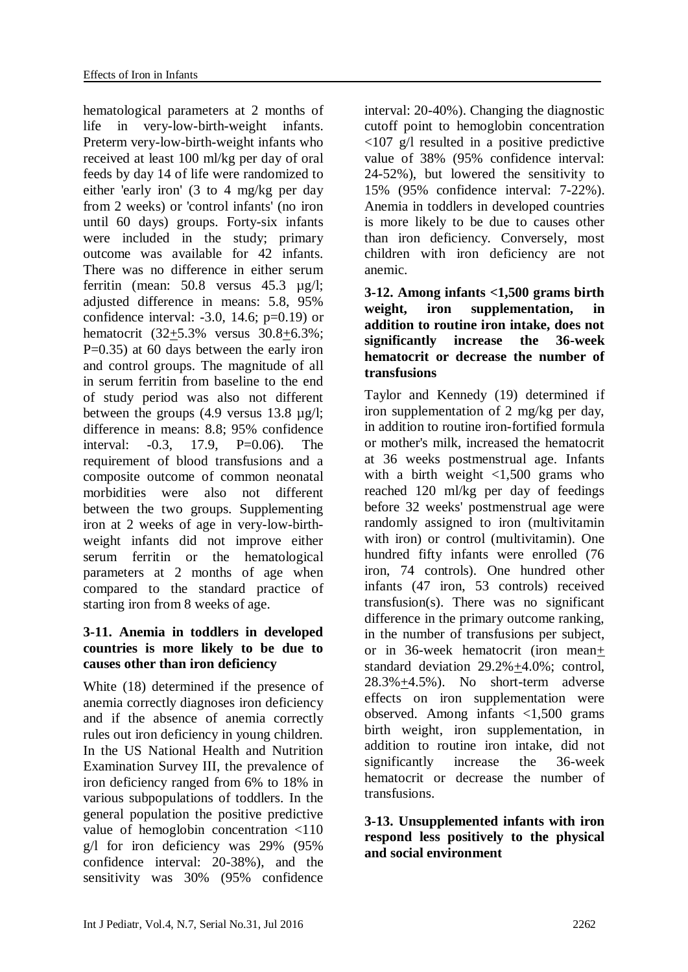hematological parameters at 2 months of life in very-low-birth-weight infants. Preterm very-low-birth-weight infants who received at least 100 ml/kg per day of oral feeds by day 14 of life were randomized to either 'early iron' (3 to 4 mg/kg per day from 2 weeks) or 'control infants' (no iron until 60 days) groups. Forty-six infants were included in the study; primary outcome was available for 42 infants. There was no difference in either serum ferritin (mean: 50.8 versus 45.3 µg/l; adjusted difference in means: 5.8, 95% confidence interval:  $-3.0$ , 14.6;  $p=0.19$ ) or hematocrit (32+5.3% versus 30.8+6.3%; P=0.35) at 60 days between the early iron and control groups. The magnitude of all in serum ferritin from baseline to the end of study period was also not different between the groups (4.9 versus 13.8 µg/l; difference in means: 8.8; 95% confidence interval: -0.3, 17.9, P=0.06). The requirement of blood transfusions and a composite outcome of common neonatal morbidities were also not different between the two groups. Supplementing iron at 2 weeks of age in very-low-birthweight infants did not improve either serum ferritin or the hematological parameters at 2 months of age when compared to the standard practice of starting iron from 8 weeks of age.

#### **3-11. Anemia in toddlers in developed countries is more likely to be due to causes other than iron deficiency**

White (18) determined if the presence of anemia correctly diagnoses iron deficiency and if the absence of anemia correctly rules out iron deficiency in young children. In the US National Health and Nutrition Examination Survey III, the prevalence of iron deficiency ranged from 6% to 18% in various subpopulations of toddlers. In the general population the positive predictive value of hemoglobin concentration <110 g/l for iron deficiency was 29% (95% confidence interval: 20-38%), and the sensitivity was 30% (95% confidence

interval: 20-40%). Changing the diagnostic cutoff point to hemoglobin concentration <107 g/l resulted in a positive predictive value of 38% (95% confidence interval: 24-52%), but lowered the sensitivity to 15% (95% confidence interval: 7-22%). Anemia in toddlers in developed countries is more likely to be due to causes other than iron deficiency. Conversely, most children with iron deficiency are not anemic.

# **3-12. Among infants <1,500 grams birth weight, iron supplementation, in addition to routine iron intake, does not significantly increase the 36-week hematocrit or decrease the number of transfusions**

Taylor and Kennedy (19) determined if iron supplementation of 2 mg/kg per day, in addition to routine iron-fortified formula or mother's milk, increased the hematocrit at 36 weeks postmenstrual age. Infants with a birth weight  $\langle 1,500 \rangle$  grams who reached 120 ml/kg per day of feedings before 32 weeks' postmenstrual age were randomly assigned to iron (multivitamin with iron) or control (multivitamin). One hundred fifty infants were enrolled (76 iron, 74 controls). One hundred other infants (47 iron, 53 controls) received transfusion(s). There was no significant difference in the primary outcome ranking, in the number of transfusions per subject, or in 36-week hematocrit (iron mean+ standard deviation 29.2%+4.0%; control, 28.3%+4.5%). No short-term adverse effects on iron supplementation were observed. Among infants <1,500 grams birth weight, iron supplementation, in addition to routine iron intake, did not significantly increase the 36-week hematocrit or decrease the number of transfusions.

# **3-13. Unsupplemented infants with iron respond less positively to the physical and social environment**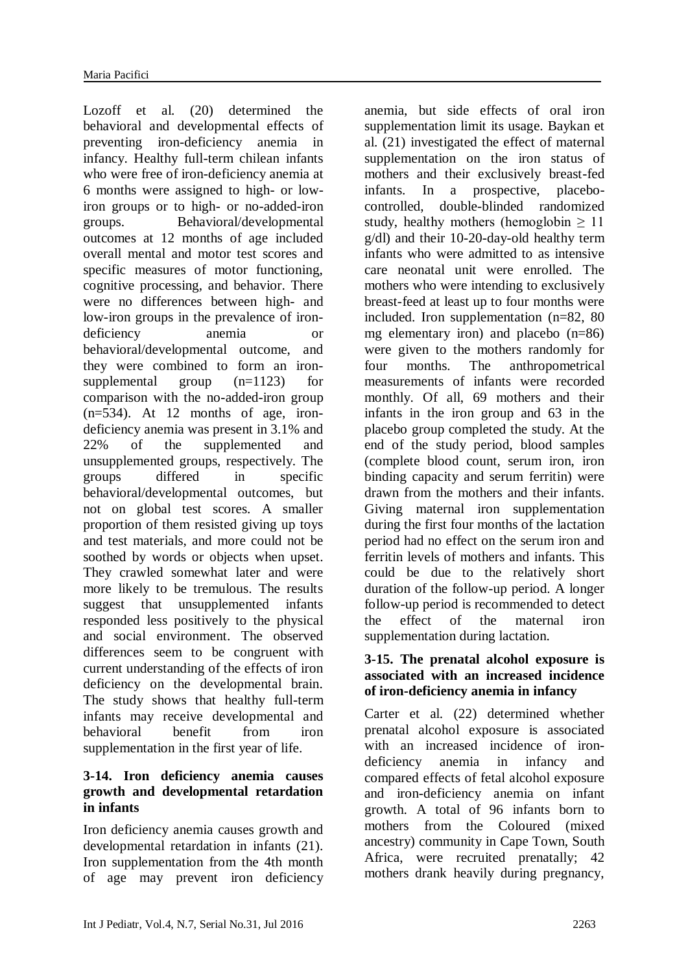Lozoff et al. (20) determined the behavioral and developmental effects of preventing iron-deficiency anemia in infancy. Healthy full-term chilean infants who were free of iron-deficiency anemia at 6 months were assigned to high- or lowiron groups or to high- or no-added-iron groups. Behavioral/developmental outcomes at 12 months of age included overall mental and motor test scores and specific measures of motor functioning, cognitive processing, and behavior. There were no differences between high- and low-iron groups in the prevalence of irondeficiency anemia or behavioral/developmental outcome, and they were combined to form an ironsupplemental group (n=1123) for comparison with the no-added-iron group  $(n=534)$ . At 12 months of age, irondeficiency anemia was present in 3.1% and 22% of the supplemented and unsupplemented groups, respectively. The groups differed in specific behavioral/developmental outcomes, but not on global test scores. A smaller proportion of them resisted giving up toys and test materials, and more could not be soothed by words or objects when upset. They crawled somewhat later and were more likely to be tremulous. The results suggest that unsupplemented infants responded less positively to the physical and social environment. The observed differences seem to be congruent with current understanding of the effects of iron deficiency on the developmental brain. The study shows that healthy full-term infants may receive developmental and behavioral benefit from iron supplementation in the first year of life.

# **3-14. Iron deficiency anemia causes growth and developmental retardation in infants**

Iron deficiency anemia causes growth and developmental retardation in infants (21). Iron supplementation from the 4th month of age may prevent iron deficiency anemia, but side effects of oral iron supplementation limit its usage. Baykan et al. (21) investigated the effect of maternal supplementation on the iron status of mothers and their exclusively breast-fed infants. In a prospective, placebocontrolled, double-blinded randomized study, healthy mothers (hemoglobin  $\geq 11$ ) g/dl) and their 10-20-day-old healthy term infants who were admitted to as intensive care neonatal unit were enrolled. The mothers who were intending to exclusively breast-feed at least up to four months were included. Iron supplementation (n=82, 80 mg elementary iron) and placebo (n=86) were given to the mothers randomly for four months. The anthropometrical measurements of infants were recorded monthly. Of all, 69 mothers and their infants in the iron group and 63 in the placebo group completed the study. At the end of the study period, blood samples (complete blood count, serum iron, iron binding capacity and serum ferritin) were drawn from the mothers and their infants. Giving maternal iron supplementation during the first four months of the lactation period had no effect on the serum iron and ferritin levels of mothers and infants. This could be due to the relatively short duration of the follow-up period. A longer follow-up period is recommended to detect the effect of the maternal iron supplementation during lactation.

#### **3-15. The prenatal alcohol exposure is associated with an increased incidence of iron-deficiency anemia in infancy**

Carter et al. (22) determined whether prenatal alcohol exposure is associated with an increased incidence of irondeficiency anemia in infancy and compared effects of fetal alcohol exposure and iron-deficiency anemia on infant growth. A total of 96 infants born to mothers from the Coloured (mixed ancestry) community in Cape Town, South Africa, were recruited prenatally; 42 mothers drank heavily during pregnancy,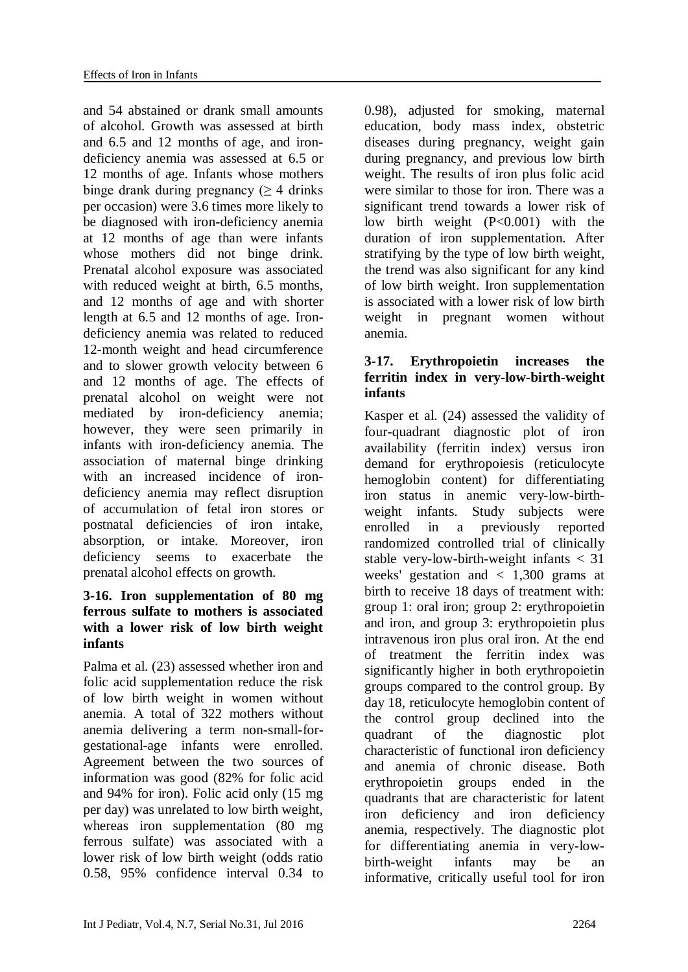and 54 abstained or drank small amounts of alcohol. Growth was assessed at birth and 6.5 and 12 months of age, and irondeficiency anemia was assessed at 6.5 or 12 months of age. Infants whose mothers binge drank during pregnancy  $($  > 4 drinks per occasion) were 3.6 times more likely to be diagnosed with iron-deficiency anemia at 12 months of age than were infants whose mothers did not binge drink. Prenatal alcohol exposure was associated with reduced weight at birth, 6.5 months, and 12 months of age and with shorter length at 6.5 and 12 months of age. Irondeficiency anemia was related to reduced 12-month weight and head circumference and to slower growth velocity between 6 and 12 months of age. The effects of prenatal alcohol on weight were not mediated by iron-deficiency anemia; however, they were seen primarily in infants with iron-deficiency anemia. The association of maternal binge drinking with an increased incidence of irondeficiency anemia may reflect disruption of accumulation of fetal iron stores or postnatal deficiencies of iron intake, absorption, or intake. Moreover, iron deficiency seems to exacerbate the prenatal alcohol effects on growth.

#### **3-16. Iron supplementation of 80 mg ferrous sulfate to mothers is associated with a lower risk of low birth weight infants**

Palma et al. (23) assessed whether iron and folic acid supplementation reduce the risk of low birth weight in women without anemia. A total of 322 mothers without anemia delivering a term non-small-forgestational-age infants were enrolled. Agreement between the two sources of information was good (82% for folic acid and 94% for iron). Folic acid only (15 mg per day) was unrelated to low birth weight, whereas iron supplementation (80 mg) ferrous sulfate) was associated with a lower risk of low birth weight (odds ratio 0.58, 95% confidence interval 0.34 to 0.98), adjusted for smoking, maternal education, body mass index, obstetric diseases during pregnancy, weight gain during pregnancy, and previous low birth weight. The results of iron plus folic acid were similar to those for iron. There was a significant trend towards a lower risk of low birth weight (P<0.001) with the duration of iron supplementation. After stratifying by the type of low birth weight, the trend was also significant for any kind of low birth weight. Iron supplementation is associated with a lower risk of low birth weight in pregnant women without anemia.

# **3-17. Erythropoietin increases the ferritin index in very-low-birth-weight infants**

Kasper et al. (24) assessed the validity of four-quadrant diagnostic plot of iron availability (ferritin index) versus iron demand for erythropoiesis (reticulocyte hemoglobin content) for differentiating iron status in anemic very-low-birthweight infants. Study subjects were enrolled in a previously reported randomized controlled trial of clinically stable very-low-birth-weight infants < 31 weeks' gestation and  $\langle 1,300 \rangle$  grams at birth to receive 18 days of treatment with: group 1: oral iron; group 2: erythropoietin and iron, and group 3: erythropoietin plus intravenous iron plus oral iron. At the end of treatment the ferritin index was significantly higher in both erythropoietin groups compared to the control group. By day 18, reticulocyte hemoglobin content of the control group declined into the quadrant of the diagnostic plot characteristic of functional iron deficiency and anemia of chronic disease. Both erythropoietin groups ended in the quadrants that are characteristic for latent iron deficiency and iron deficiency anemia, respectively. The diagnostic plot for differentiating anemia in very-lowbirth-weight infants may be an informative, critically useful tool for iron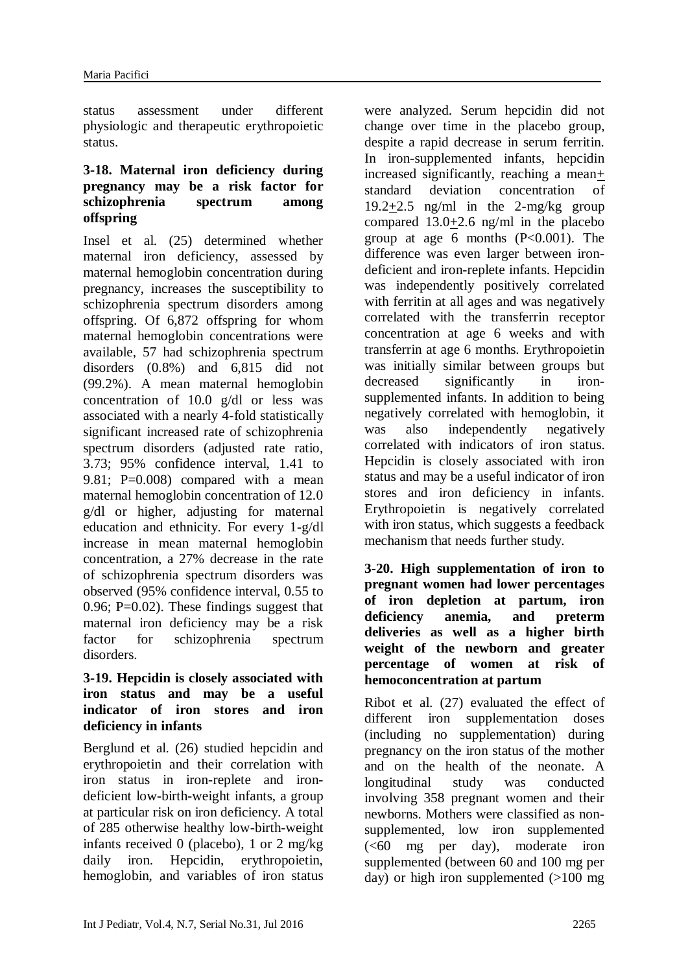status assessment under different physiologic and therapeutic erythropoietic status.

### **3-18. Maternal iron deficiency during pregnancy may be a risk factor for schizophrenia spectrum among offspring**

Insel et al. (25) determined whether maternal iron deficiency, assessed by maternal hemoglobin concentration during pregnancy, increases the susceptibility to schizophrenia spectrum disorders among offspring. Of 6,872 offspring for whom maternal hemoglobin concentrations were available, 57 had schizophrenia spectrum disorders (0.8%) and 6,815 did not (99.2%). A mean maternal hemoglobin concentration of 10.0 g/dl or less was associated with a nearly 4-fold statistically significant increased rate of schizophrenia spectrum disorders (adjusted rate ratio, 3.73; 95% confidence interval, 1.41 to 9.81; P=0.008) compared with a mean maternal hemoglobin concentration of 12.0 g/dl or higher, adjusting for maternal education and ethnicity. For every 1-g/dl increase in mean maternal hemoglobin concentration, a 27% decrease in the rate of schizophrenia spectrum disorders was observed (95% confidence interval, 0.55 to 0.96;  $P=0.02$ ). These findings suggest that maternal iron deficiency may be a risk factor for schizophrenia spectrum disorders.

## **3-19. Hepcidin is closely associated with iron status and may be a useful indicator of iron stores and iron deficiency in infants**

Berglund et al. (26) studied hepcidin and erythropoietin and their correlation with iron status in iron-replete and irondeficient low-birth-weight infants, a group at particular risk on iron deficiency. A total of 285 otherwise healthy low-birth-weight infants received 0 (placebo), 1 or 2 mg/kg daily iron. Hepcidin, erythropoietin, hemoglobin, and variables of iron status were analyzed. Serum hepcidin did not change over time in the placebo group, despite a rapid decrease in serum ferritin. In iron-supplemented infants, hepcidin increased significantly, reaching a mean+ standard deviation concentration of 19.2+2.5 ng/ml in the 2-mg/kg group compared 13.0+2.6 ng/ml in the placebo group at age 6 months  $(P<0.001)$ . The difference was even larger between irondeficient and iron-replete infants. Hepcidin was independently positively correlated with ferritin at all ages and was negatively correlated with the transferrin receptor concentration at age 6 weeks and with transferrin at age 6 months. Erythropoietin was initially similar between groups but decreased significantly in ironsupplemented infants. In addition to being negatively correlated with hemoglobin, it was also independently negatively correlated with indicators of iron status. Hepcidin is closely associated with iron status and may be a useful indicator of iron stores and iron deficiency in infants. Erythropoietin is negatively correlated with iron status, which suggests a feedback mechanism that needs further study.

# **3-20. High supplementation of iron to pregnant women had lower percentages of iron depletion at partum, iron deficiency anemia, and preterm deliveries as well as a higher birth weight of the newborn and greater percentage of women at risk of hemoconcentration at partum**

Ribot et al. (27) evaluated the effect of different iron supplementation doses (including no supplementation) during pregnancy on the iron status of the mother and on the health of the neonate. A longitudinal study was conducted involving 358 pregnant women and their newborns. Mothers were classified as nonsupplemented, low iron supplemented  $( $60$  mg per day), moderate iron$ supplemented (between 60 and 100 mg per day) or high iron supplemented  $(>100$  mg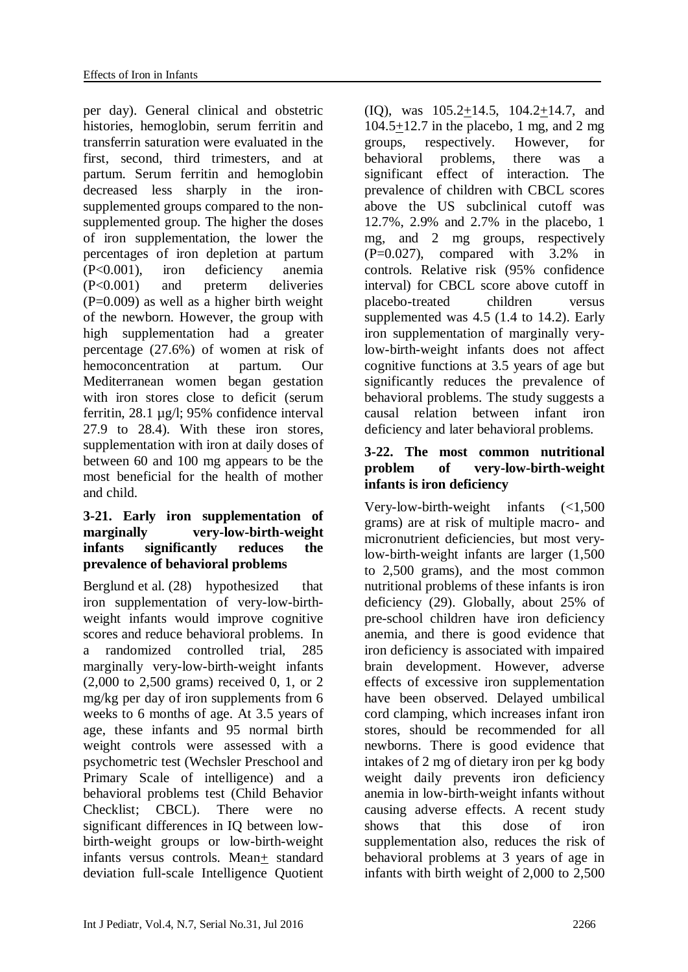per day). General clinical and obstetric histories, hemoglobin, serum ferritin and transferrin saturation were evaluated in the first, second, third trimesters, and at partum. Serum ferritin and hemoglobin decreased less sharply in the ironsupplemented groups compared to the nonsupplemented group. The higher the doses of iron supplementation, the lower the percentages of iron depletion at partum (P<0.001), iron deficiency anemia (P<0.001) and preterm deliveries  $(P=0.009)$  as well as a higher birth weight of the newborn. However, the group with high supplementation had a greater percentage (27.6%) of women at risk of hemoconcentration at partum. Our Mediterranean women began gestation with iron stores close to deficit (serum ferritin, 28.1 µg/l; 95% confidence interval 27.9 to 28.4). With these iron stores, supplementation with iron at daily doses of between 60 and 100 mg appears to be the most beneficial for the health of mother and child.

# **3-21. Early iron supplementation of marginally very-low-birth-weight infants significantly reduces the prevalence of behavioral problems**

Berglund et al. (28) hypothesized that iron supplementation of very-low-birthweight infants would improve cognitive scores and reduce behavioral problems. In a randomized controlled trial, 285 marginally very-low-birth-weight infants (2,000 to 2,500 grams) received 0, 1, or 2 mg/kg per day of iron supplements from 6 weeks to 6 months of age. At 3.5 years of age, these infants and 95 normal birth weight controls were assessed with a psychometric test (Wechsler Preschool and Primary Scale of intelligence) and a behavioral problems test (Child Behavior Checklist; CBCL). There were no significant differences in IQ between lowbirth-weight groups or low-birth-weight infants versus controls. Mean+ standard deviation full-scale Intelligence Quotient

(IQ), was 105.2+14.5, 104.2+14.7, and 104.5+12.7 in the placebo, 1 mg, and 2 mg groups, respectively. However, for behavioral problems, there was a significant effect of interaction. The prevalence of children with CBCL scores above the US subclinical cutoff was 12.7%, 2.9% and 2.7% in the placebo, 1 mg, and 2 mg groups, respectively  $(P=0.027)$ , compared with 3.2% in controls. Relative risk (95% confidence interval) for CBCL score above cutoff in placebo-treated children versus supplemented was 4.5 (1.4 to 14.2). Early iron supplementation of marginally verylow-birth-weight infants does not affect cognitive functions at 3.5 years of age but significantly reduces the prevalence of behavioral problems. The study suggests a causal relation between infant iron deficiency and later behavioral problems.

# **3-22. The most common nutritional problem of very-low-birth-weight infants is iron deficiency**

Very-low-birth-weight infants (<1,500 grams) are at risk of multiple macro- and micronutrient deficiencies, but most verylow-birth-weight infants are larger (1,500 to 2,500 grams), and the most common nutritional problems of these infants is iron deficiency (29). Globally, about 25% of pre-school children have iron deficiency anemia, and there is good evidence that iron deficiency is associated with impaired brain development. However, adverse effects of excessive iron supplementation have been observed. Delayed umbilical cord clamping, which increases infant iron stores, should be recommended for all newborns. There is good evidence that intakes of 2 mg of dietary iron per kg body weight daily prevents iron deficiency anemia in low-birth-weight infants without causing adverse effects. A recent study shows that this dose of iron supplementation also, reduces the risk of behavioral problems at 3 years of age in infants with birth weight of 2,000 to 2,500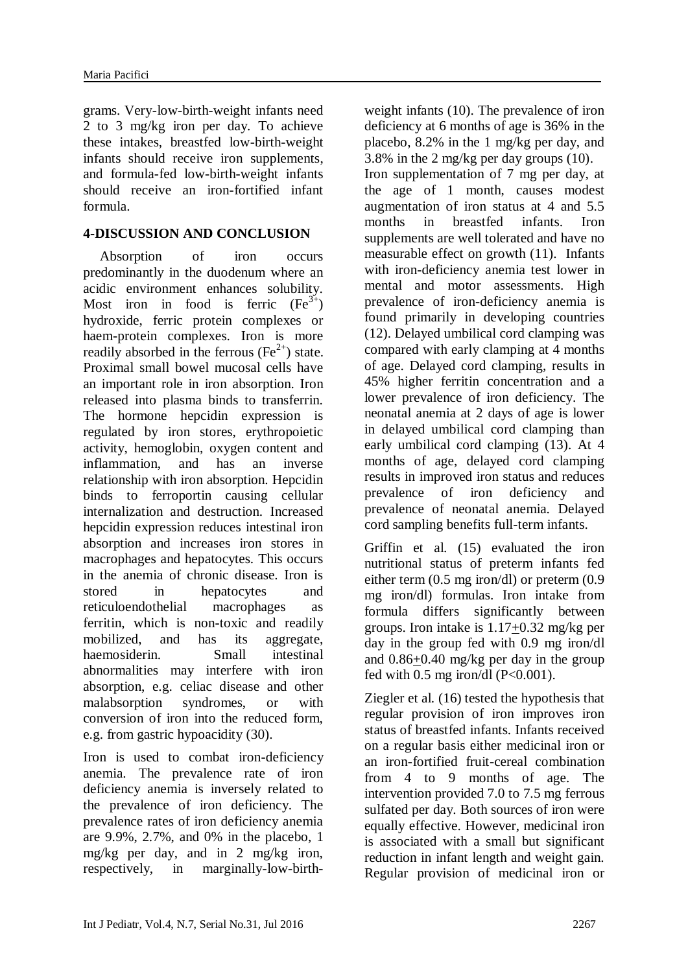grams. Very-low-birth-weight infants need 2 to 3 mg/kg iron per day. To achieve these intakes, breastfed low-birth-weight infants should receive iron supplements, and formula-fed low-birth-weight infants should receive an iron-fortified infant formula.

# **4-DISCUSSION AND CONCLUSION**

Absorption of iron occurs predominantly in the duodenum where an acidic environment enhances solubility. Most iron in food is ferric  $(Fe^{3+})$ hydroxide, ferric protein complexes or haem-protein complexes. Iron is more readily absorbed in the ferrous  $(Fe^{2+})$  state. Proximal small bowel mucosal cells have an important role in iron absorption. Iron released into plasma binds to transferrin. The hormone hepcidin expression is regulated by iron stores, erythropoietic activity, hemoglobin, oxygen content and inflammation, and has an inverse relationship with iron absorption. Hepcidin binds to ferroportin causing cellular internalization and destruction. Increased hepcidin expression reduces intestinal iron absorption and increases iron stores in macrophages and hepatocytes. This occurs in the anemia of chronic disease. Iron is stored in hepatocytes and reticuloendothelial macrophages as ferritin, which is non-toxic and readily mobilized, and has its aggregate, haemosiderin. Small intestinal abnormalities may interfere with iron absorption, e.g. celiac disease and other malabsorption syndromes, or with conversion of iron into the reduced form, e.g. from gastric hypoacidity (30).

Iron is used to combat iron-deficiency anemia. The prevalence rate of iron deficiency anemia is inversely related to the prevalence of iron deficiency. The prevalence rates of iron deficiency anemia are 9.9%, 2.7%, and 0% in the placebo, 1 mg/kg per day, and in 2 mg/kg iron, respectively, in marginally-low-birthweight infants (10). The prevalence of iron deficiency at 6 months of age is 36% in the placebo, 8.2% in the 1 mg/kg per day, and 3.8% in the 2 mg/kg per day groups (10).

Iron supplementation of 7 mg per day, at the age of 1 month, causes modest augmentation of iron status at 4 and 5.5 months in breastfed infants. Iron supplements are well tolerated and have no measurable effect on growth (11). Infants with iron-deficiency anemia test lower in mental and motor assessments. High prevalence of iron-deficiency anemia is found primarily in developing countries (12). Delayed umbilical cord clamping was compared with early clamping at 4 months of age. Delayed cord clamping, results in 45% higher ferritin concentration and a lower prevalence of iron deficiency. The neonatal anemia at 2 days of age is lower in delayed umbilical cord clamping than early umbilical cord clamping (13). At 4 months of age, delayed cord clamping results in improved iron status and reduces prevalence of iron deficiency and prevalence of neonatal anemia. Delayed cord sampling benefits full-term infants.

Griffin et al. (15) evaluated the iron nutritional status of preterm infants fed either term (0.5 mg iron/dl) or preterm (0.9 mg iron/dl) formulas. Iron intake from formula differs significantly between groups. Iron intake is 1.17+0.32 mg/kg per day in the group fed with 0.9 mg iron/dl and 0.86+0.40 mg/kg per day in the group fed with  $0.5$  mg iron/dl (P< $0.001$ ).

Ziegler et al. (16) tested the hypothesis that regular provision of iron improves iron status of breastfed infants. Infants received on a regular basis either medicinal iron or an iron-fortified fruit-cereal combination from 4 to 9 months of age. The intervention provided 7.0 to 7.5 mg ferrous sulfated per day. Both sources of iron were equally effective. However, medicinal iron is associated with a small but significant reduction in infant length and weight gain. Regular provision of medicinal iron or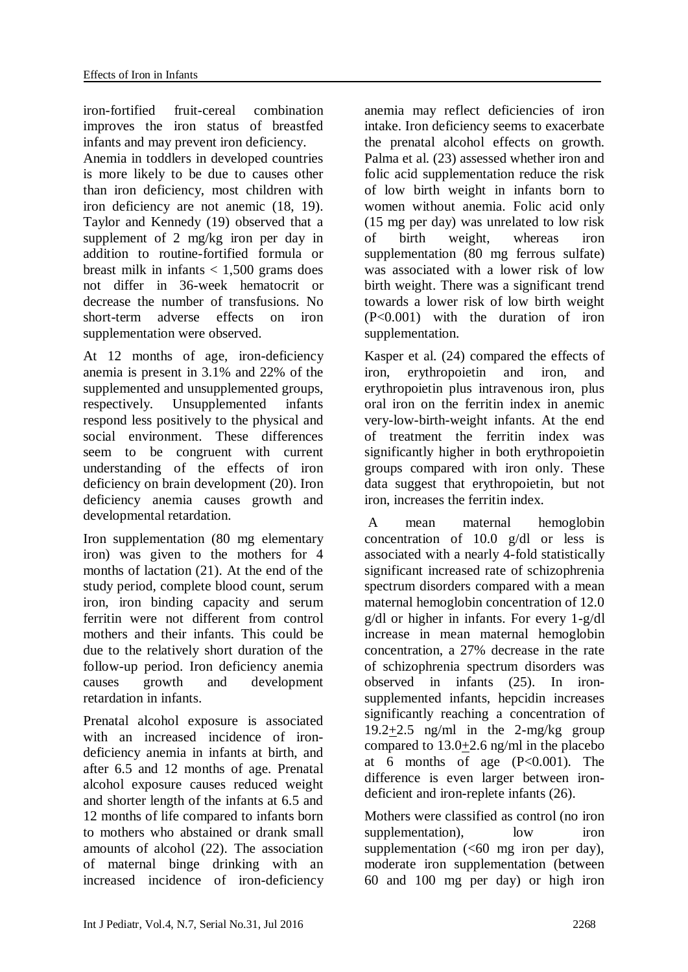iron-fortified fruit-cereal combination improves the iron status of breastfed infants and may prevent iron deficiency.

Anemia in toddlers in developed countries is more likely to be due to causes other than iron deficiency, most children with iron deficiency are not anemic (18, 19). Taylor and Kennedy (19) observed that a supplement of 2 mg/kg iron per day in addition to routine-fortified formula or breast milk in infants  $< 1.500$  grams does not differ in 36-week hematocrit or decrease the number of transfusions. No short-term adverse effects on iron supplementation were observed.

At 12 months of age, iron-deficiency anemia is present in 3.1% and 22% of the supplemented and unsupplemented groups, respectively. Unsupplemented infants respond less positively to the physical and social environment. These differences seem to be congruent with current understanding of the effects of iron deficiency on brain development (20). Iron deficiency anemia causes growth and developmental retardation.

Iron supplementation (80 mg elementary iron) was given to the mothers for 4 months of lactation (21). At the end of the study period, complete blood count, serum iron, iron binding capacity and serum ferritin were not different from control mothers and their infants. This could be due to the relatively short duration of the follow-up period. Iron deficiency anemia causes growth and development retardation in infants.

Prenatal alcohol exposure is associated with an increased incidence of irondeficiency anemia in infants at birth, and after 6.5 and 12 months of age. Prenatal alcohol exposure causes reduced weight and shorter length of the infants at 6.5 and 12 months of life compared to infants born to mothers who abstained or drank small amounts of alcohol (22). The association of maternal binge drinking with an increased incidence of iron-deficiency

anemia may reflect deficiencies of iron intake. Iron deficiency seems to exacerbate the prenatal alcohol effects on growth. Palma et al. (23) assessed whether iron and folic acid supplementation reduce the risk of low birth weight in infants born to women without anemia. Folic acid only (15 mg per day) was unrelated to low risk of birth weight, whereas iron supplementation (80 mg ferrous sulfate) was associated with a lower risk of low birth weight. There was a significant trend towards a lower risk of low birth weight (P<0.001) with the duration of iron supplementation.

Kasper et al. (24) compared the effects of iron, erythropoietin and iron, and erythropoietin plus intravenous iron, plus oral iron on the ferritin index in anemic very-low-birth-weight infants. At the end of treatment the ferritin index was significantly higher in both erythropoietin groups compared with iron only. These data suggest that erythropoietin, but not iron, increases the ferritin index.

A mean maternal hemoglobin concentration of 10.0 g/dl or less is associated with a nearly 4-fold statistically significant increased rate of schizophrenia spectrum disorders compared with a mean maternal hemoglobin concentration of 12.0 g/dl or higher in infants. For every 1-g/dl increase in mean maternal hemoglobin concentration, a 27% decrease in the rate of schizophrenia spectrum disorders was observed in infants (25). In ironsupplemented infants, hepcidin increases significantly reaching a concentration of 19.2+2.5 ng/ml in the 2-mg/kg group compared to 13.0+2.6 ng/ml in the placebo at 6 months of age  $(P<0.001)$ . The difference is even larger between irondeficient and iron-replete infants (26).

Mothers were classified as control (no iron supplementation), low iron supplementation  $\left( \leq 60 \right)$  mg iron per day). moderate iron supplementation (between 60 and 100 mg per day) or high iron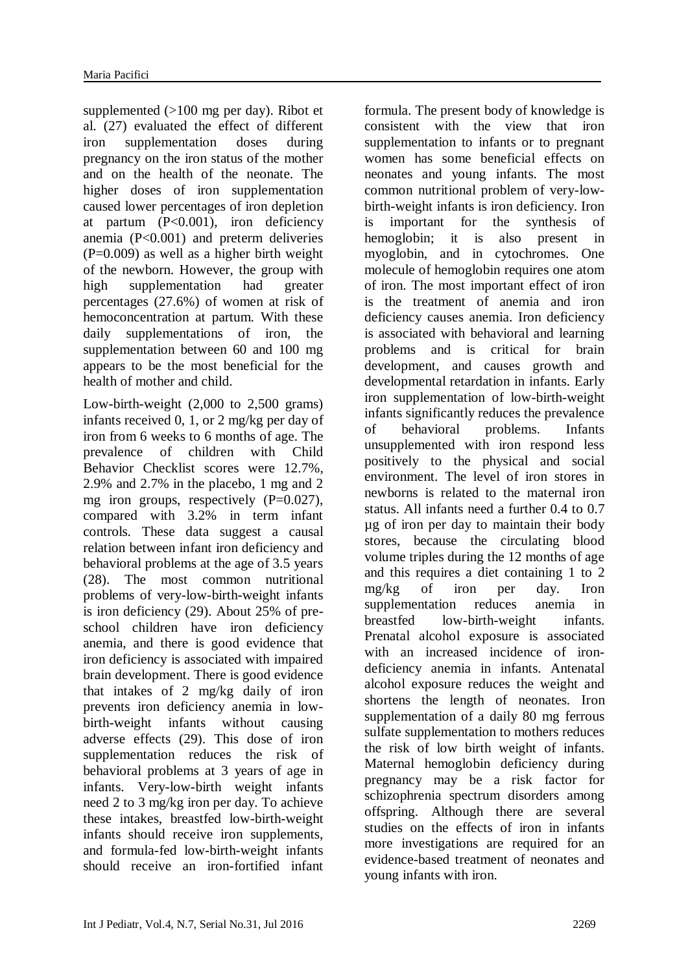supplemented (>100 mg per day). Ribot et al. (27) evaluated the effect of different iron supplementation doses during pregnancy on the iron status of the mother and on the health of the neonate. The higher doses of iron supplementation caused lower percentages of iron depletion at partum (P<0.001), iron deficiency anemia (P<0.001) and preterm deliveries  $(P=0.009)$  as well as a higher birth weight of the newborn. However, the group with high supplementation had greater percentages (27.6%) of women at risk of hemoconcentration at partum. With these daily supplementations of iron, the supplementation between 60 and 100 mg appears to be the most beneficial for the health of mother and child.

Low-birth-weight (2,000 to 2,500 grams) infants received 0, 1, or 2 mg/kg per day of iron from 6 weeks to 6 months of age. The prevalence of children with Child Behavior Checklist scores were 12.7%, 2.9% and 2.7% in the placebo, 1 mg and 2 mg iron groups, respectively  $(P=0.027)$ , compared with 3.2% in term infant controls. These data suggest a causal relation between infant iron deficiency and behavioral problems at the age of 3.5 years (28). The most common nutritional problems of very-low-birth-weight infants is iron deficiency (29). About 25% of preschool children have iron deficiency anemia, and there is good evidence that iron deficiency is associated with impaired brain development. There is good evidence that intakes of 2 mg/kg daily of iron prevents iron deficiency anemia in lowbirth-weight infants without causing adverse effects (29). This dose of iron supplementation reduces the risk of behavioral problems at 3 years of age in infants. Very-low-birth weight infants need 2 to 3 mg/kg iron per day. To achieve these intakes, breastfed low-birth-weight infants should receive iron supplements, and formula-fed low-birth-weight infants should receive an iron-fortified infant

formula. The present body of knowledge is consistent with the view that iron supplementation to infants or to pregnant women has some beneficial effects on neonates and young infants. The most common nutritional problem of very-lowbirth-weight infants is iron deficiency. Iron is important for the synthesis of hemoglobin; it is also present in myoglobin, and in cytochromes. One molecule of hemoglobin requires one atom of iron. The most important effect of iron is the treatment of anemia and iron deficiency causes anemia. Iron deficiency is associated with behavioral and learning problems and is critical for brain development, and causes growth and developmental retardation in infants. Early iron supplementation of low-birth-weight infants significantly reduces the prevalence of behavioral problems. Infants unsupplemented with iron respond less positively to the physical and social environment. The level of iron stores in newborns is related to the maternal iron status. All infants need a further 0.4 to 0.7 µg of iron per day to maintain their body stores, because the circulating blood volume triples during the 12 months of age and this requires a diet containing 1 to 2 mg/kg of iron per day. Iron supplementation reduces anemia in breastfed low-birth-weight infants. Prenatal alcohol exposure is associated with an increased incidence of irondeficiency anemia in infants. Antenatal alcohol exposure reduces the weight and shortens the length of neonates. Iron supplementation of a daily 80 mg ferrous sulfate supplementation to mothers reduces the risk of low birth weight of infants. Maternal hemoglobin deficiency during pregnancy may be a risk factor for schizophrenia spectrum disorders among offspring. Although there are several studies on the effects of iron in infants more investigations are required for an evidence-based treatment of neonates and young infants with iron.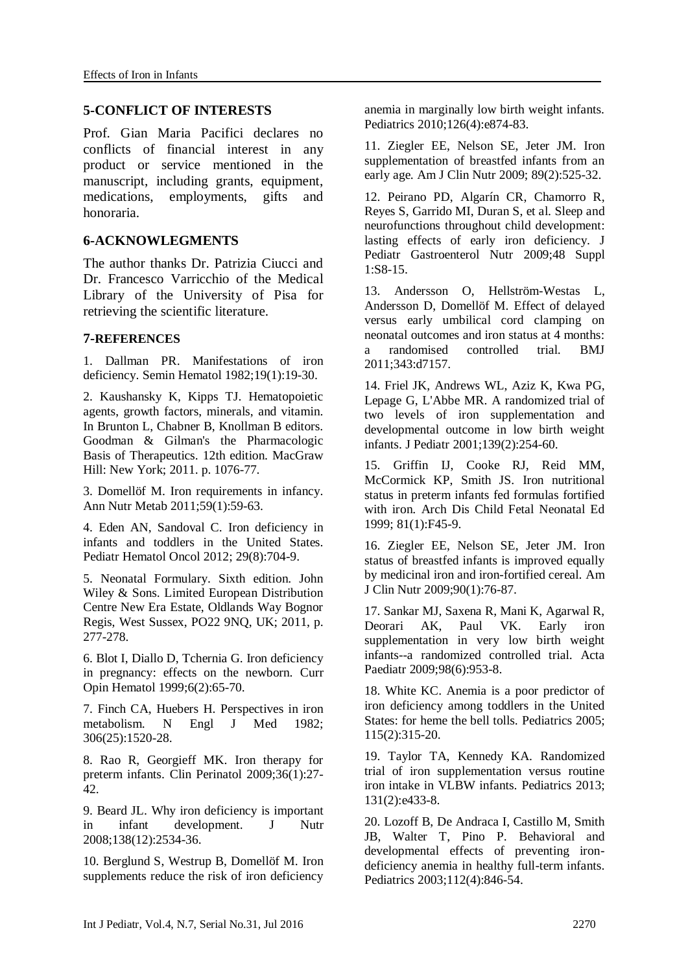#### **5-CONFLICT OF INTERESTS**

Prof. Gian Maria Pacifici declares no conflicts of financial interest in any product or service mentioned in the manuscript, including grants, equipment, medications, employments, gifts and honoraria.

#### **6-ACKNOWLEGMENTS**

The author thanks Dr. Patrizia Ciucci and Dr. Francesco Varricchio of the Medical Library of the University of Pisa for retrieving the scientific literature.

#### **7-REFERENCES**

1. Dallman PR. [Manifestations of iron](http://www.ncbi.nlm.nih.gov/pubmed/6763336)  [deficiency.](http://www.ncbi.nlm.nih.gov/pubmed/6763336) Semin Hematol 1982;19(1):19-30.

2. Kaushansky K, Kipps TJ. Hematopoietic agents, growth factors, minerals, and vitamin. In Brunton L, Chabner B, Knollman B editors. Goodman & Gilman's the Pharmacologic Basis of Therapeutics. 12th edition. MacGraw Hill: New York; 2011. p. 1076-77.

3. Domellöf M. [Iron requirements in infancy.](http://www.ncbi.nlm.nih.gov/pubmed/22123641) Ann Nutr Metab 2011;59(1):59-63.

4. [Eden AN,](http://www.ncbi.nlm.nih.gov/pubmed/?term=Eden%20AN%5BAuthor%5D&cauthor=true&cauthor_uid=23030474) [Sandoval C.](http://www.ncbi.nlm.nih.gov/pubmed/?term=Sandoval%20C%5BAuthor%5D&cauthor=true&cauthor_uid=23030474) Iron deficiency in infants and toddlers in the United States. [Pediatr Hematol Oncol](http://www.ncbi.nlm.nih.gov/pubmed/?term=Eden+and+Sandoval+2012) 2012; 29(8):704-9.

5. Neonatal Formulary. Sixth edition. John Wiley & Sons. Limited European Distribution Centre New Era Estate, Oldlands Way Bognor Regis, West Sussex, PO22 9NQ, UK; 2011, p. 277-278.

6. [Blot I,](http://www.ncbi.nlm.nih.gov/pubmed/?term=Blot%20I%5BAuthor%5D&cauthor=true&cauthor_uid=10088634) [Diallo D,](http://www.ncbi.nlm.nih.gov/pubmed/?term=Diallo%20D%5BAuthor%5D&cauthor=true&cauthor_uid=10088634) [Tchernia G.](http://www.ncbi.nlm.nih.gov/pubmed/?term=Tchernia%20G%5BAuthor%5D&cauthor=true&cauthor_uid=10088634) Iron deficiency in pregnancy: effects on the newborn. [Curr](http://www.ncbi.nlm.nih.gov/pubmed/?term=Blot+i+1999)  [Opin Hematol](http://www.ncbi.nlm.nih.gov/pubmed/?term=Blot+i+1999) 1999;6(2):65-70.

7. Finch CA, Huebers H. [Perspectives in iron](http://www.ncbi.nlm.nih.gov/pubmed/7043270)  [metabolism.](http://www.ncbi.nlm.nih.gov/pubmed/7043270) N Engl J Med 1982; 306(25):1520-28.

8. [Rao R,](http://www.ncbi.nlm.nih.gov/pubmed/?term=Rao%20R%5BAuthor%5D&cauthor=true&cauthor_uid=19161863) [Georgieff MK.](http://www.ncbi.nlm.nih.gov/pubmed/?term=Georgieff%20MK%5BAuthor%5D&cauthor=true&cauthor_uid=19161863) Iron therapy for preterm infants. [Clin Perinatol](http://www.ncbi.nlm.nih.gov/pubmed/?term=Rao+and+Georgieff+2009) 2009;36(1):27- 42.

9. Beard JL. [Why iron deficiency is important](http://www.ncbi.nlm.nih.gov/pubmed/19022985)  [in infant development.](http://www.ncbi.nlm.nih.gov/pubmed/19022985) J Nutr 2008;138(12):2534-36.

10. Berglund S, Westrup B, Domellöf M. [Iron](http://www.ncbi.nlm.nih.gov/pubmed/20819898)  [supplements reduce the risk of iron deficiency](http://www.ncbi.nlm.nih.gov/pubmed/20819898)  [anemia in marginally low birth weight infants.](http://www.ncbi.nlm.nih.gov/pubmed/20819898) Pediatrics 2010;126(4):e874-83.

11. Ziegler EE, Nelson SE, Jeter JM. [Iron](http://www.ncbi.nlm.nih.gov/pubmed/19073791)  [supplementation of breastfed infants from an](http://www.ncbi.nlm.nih.gov/pubmed/19073791)  [early age.](http://www.ncbi.nlm.nih.gov/pubmed/19073791) Am J Clin Nutr 2009; 89(2):525-32.

12. [Peirano PD,](http://www.ncbi.nlm.nih.gov/pubmed/?term=Peirano%20PD%5BAuthor%5D&cauthor=true&cauthor_uid=19214058) [Algarín CR,](http://www.ncbi.nlm.nih.gov/pubmed/?term=Algar%C3%ADn%20CR%5BAuthor%5D&cauthor=true&cauthor_uid=19214058) [Chamorro R,](http://www.ncbi.nlm.nih.gov/pubmed/?term=Chamorro%20R%5BAuthor%5D&cauthor=true&cauthor_uid=19214058) [Reyes S,](http://www.ncbi.nlm.nih.gov/pubmed/?term=Reyes%20S%5BAuthor%5D&cauthor=true&cauthor_uid=19214058) [Garrido MI,](http://www.ncbi.nlm.nih.gov/pubmed/?term=Garrido%20MI%5BAuthor%5D&cauthor=true&cauthor_uid=19214058) [Duran S,](http://www.ncbi.nlm.nih.gov/pubmed/?term=Duran%20S%5BAuthor%5D&cauthor=true&cauthor_uid=19214058) [et](http://www.ncbi.nlm.nih.gov/pubmed/?term=Lozoff%20B%5BAuthor%5D&cauthor=true&cauthor_uid=19214058) al. Sleep and neurofunctions throughout child development: lasting effects of early iron deficiency. [J](http://www.ncbi.nlm.nih.gov/pubmed/?term=Peirano+pd+2009)  [Pediatr Gastroenterol Nutr](http://www.ncbi.nlm.nih.gov/pubmed/?term=Peirano+pd+2009) 2009;48 Suppl 1:S8-15.

13. Andersson O, Hellström-Westas L, Andersson D, Domellöf M. [Effect of delayed](http://www.ncbi.nlm.nih.gov/pubmed/22089242)  [versus early umbilical cord clamping on](http://www.ncbi.nlm.nih.gov/pubmed/22089242)  [neonatal outcomes and iron status at 4 months:](http://www.ncbi.nlm.nih.gov/pubmed/22089242)  [a randomised controlled trial.](http://www.ncbi.nlm.nih.gov/pubmed/22089242) BMJ 2011;343:d7157.

14. Friel JK, Andrews WL, Aziz K, Kwa PG, Lepage G, L'Abbe MR. [A randomized trial of](http://www.ncbi.nlm.nih.gov/pubmed/11487753)  [two levels of iron supplementation and](http://www.ncbi.nlm.nih.gov/pubmed/11487753)  [developmental outcome in low birth weight](http://www.ncbi.nlm.nih.gov/pubmed/11487753)  [infants.](http://www.ncbi.nlm.nih.gov/pubmed/11487753) J Pediatr 2001;139(2):254-60.

15. Griffin IJ, Cooke RJ, Reid MM, McCormick KP, Smith JS. [Iron nutritional](http://www.ncbi.nlm.nih.gov/pubmed/10375362)  [status in preterm infants fed formulas fortified](http://www.ncbi.nlm.nih.gov/pubmed/10375362)  [with iron.](http://www.ncbi.nlm.nih.gov/pubmed/10375362) Arch Dis Child Fetal Neonatal Ed 1999; 81(1):F45-9.

16. [Ziegler EE,](http://www.ncbi.nlm.nih.gov/pubmed/?term=Ziegler%20EE%5BAuthor%5D&cauthor=true&cauthor_uid=19458014) [Nelson SE,](http://www.ncbi.nlm.nih.gov/pubmed/?term=Nelson%20SE%5BAuthor%5D&cauthor=true&cauthor_uid=19458014) [Jeter JM.](http://www.ncbi.nlm.nih.gov/pubmed/?term=Jeter%20JM%5BAuthor%5D&cauthor=true&cauthor_uid=19458014) Iron status of breastfed infants is improved equally by medicinal iron and iron-fortified cereal. [Am](http://www.ncbi.nlm.nih.gov/pubmed/?term=The+study+tested+the+hypothesis+that+regular+provision+of+iron+improves+iron+status)  [J Clin Nutr](http://www.ncbi.nlm.nih.gov/pubmed/?term=The+study+tested+the+hypothesis+that+regular+provision+of+iron+improves+iron+status) 2009;90(1):76-87.

17. Sankar MJ, Saxena R, Mani K, Agarwal R, Deorari AK, Paul VK. [Early iron](http://www.ncbi.nlm.nih.gov/pubmed/19484832)  [supplementation in very low birth weight](http://www.ncbi.nlm.nih.gov/pubmed/19484832)  [infants--a randomized controlled trial.](http://www.ncbi.nlm.nih.gov/pubmed/19484832) Acta Paediatr 2009;98(6):953-8.

18. [White KC.](http://www.ncbi.nlm.nih.gov/pubmed/?term=White%20KC%5BAuthor%5D&cauthor=true&cauthor_uid=15687438) Anemia is a poor predictor of iron deficiency among toddlers in the United States: for heme the bell tolls. [Pediatrics](http://www.ncbi.nlm.nih.gov/pubmed/?term=White+kc+2005) 2005; 115(2):315-20.

19. [Taylor TA,](http://www.ncbi.nlm.nih.gov/pubmed/?term=Taylor%20TA%5BAuthor%5D&cauthor=true&cauthor_uid=23339225) [Kennedy KA.](http://www.ncbi.nlm.nih.gov/pubmed/?term=Kennedy%20KA%5BAuthor%5D&cauthor=true&cauthor_uid=23339225) Randomized trial of iron supplementation versus routine iron intake in VLBW infants. [Pediatrics](http://www.ncbi.nlm.nih.gov/pubmed/?term=Taylor+ta+and+Kennedy+ka+2013) 2013; 131(2):e433-8.

20. Lozoff B, De Andraca I, Castillo M, Smith JB, Walter T, Pino P. [Behavioral and](http://www.ncbi.nlm.nih.gov/pubmed/14523176)  [developmental effects of preventing iron](http://www.ncbi.nlm.nih.gov/pubmed/14523176)[deficiency anemia in healthy full-term infants.](http://www.ncbi.nlm.nih.gov/pubmed/14523176) Pediatrics 2003;112(4):846-54.